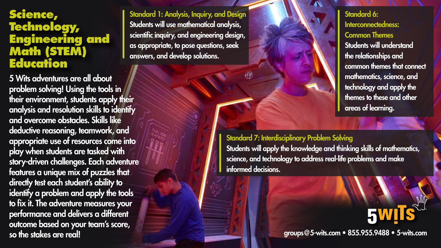## **Science, Technology, Engineering and Math (STEM) Education**

5 Wits adventures are all about problem solving! Using the tools in their environment, students apply their analysis and resolution skills to identify and overcome obstacles. Skills like deductive reasoning, teamwork, and appropriate use of resources come into play when students are tasked with story-driven challenges. Each adventure features a unique mix of puzzles that directly test each student's ability to identify a problem and apply the tools to fix it. The adventure measures your performance and delivers a different outcome based on your team's score, so the stakes are real!

Standard 1: Analysis, Inquiry, and Design Students will use mathematical analysis, scientific inquiry, and engineering design, as appropriate, to pose questions, seek answers, and develop solutions.

Standard 6: Interconnectedness: Common Themes Students will understand the relationships and common themes that connect mathematics, science, and technology and apply the themes to these and other areas of learning.

Standard 7: Interdisciplinary Problem Solving

ŵ

Students will apply the knowledge and thinking skills of mathematics, science, and technology to address real-life problems and make informed decisions.

groups@5-wits.com • 855.955.9488 • 5-wits.com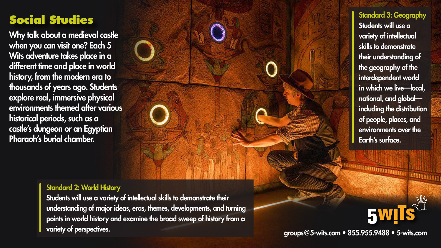## **Social Studies**

Why talk about a medieval castle when you can visit one? Each 5 Wits adventure takes place in a different time and place in world history, from the modern era to thousands of years ago. Students explore real, immersive physical environments themed after various historical periods, such as a castle's dungeon or an Egyptian Pharaoh's burial chamber.

Standard 3: Geography Students will use a variety of intellectual skills to demonstrate their understanding of the geography of the interdependent world in which we live—local, national, and global including the distribution of people, places, and environments over the Earth's surface.

**MARITRA DE L'ANGELIA (PER L'ANGELIA)** 

**5W** 

## Standard 2: World History

Students will use a variety of intellectual skills to demonstrate their understanding of major ideas, eras, themes, developments, and turning points in world history and examine the broad sweep of history from a variety of perspectives.

groups@5-wits.com • 855.955.9488 • 5-wits.com